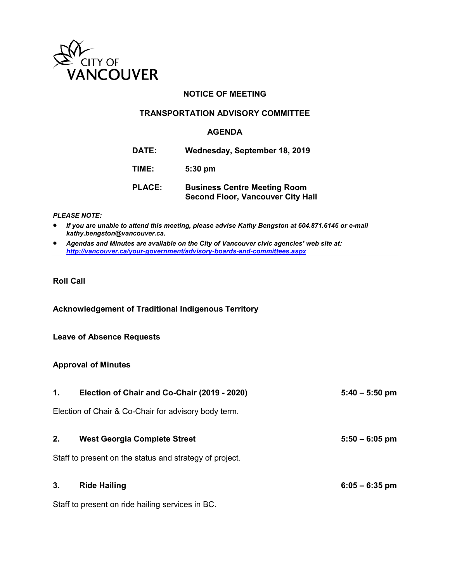

### **NOTICE OF MEETING**

#### **TRANSPORTATION ADVISORY COMMITTEE**

#### **AGENDA**

| <b>DATE:</b>  | Wednesday, September 18, 2019                                                   |
|---------------|---------------------------------------------------------------------------------|
| TIME:         | $5:30$ pm                                                                       |
| <b>PLACE:</b> | <b>Business Centre Meeting Room</b><br><b>Second Floor, Vancouver City Hall</b> |

#### *PLEASE NOTE:*

- *If you are unable to attend this meeting, please advise Kathy Bengston at 604.871.6146 or e-mail kathy.bengston@vancouver.ca.*
- *Agendas and Minutes are available on the City of Vancouver civic agencies' web site at: <http://vancouver.ca/your-government/advisory-boards-and-committees.aspx>*

#### **Roll Call**

**Acknowledgement of Traditional Indigenous Territory** 

#### **Leave of Absence Requests**

#### **Approval of Minutes**

| 1. | Election of Chair and Co-Chair (2019 - 2020)            | $5:40 - 5:50$ pm |
|----|---------------------------------------------------------|------------------|
|    | Election of Chair & Co-Chair for advisory body term.    |                  |
| 2. | <b>West Georgia Complete Street</b>                     | $5:50 - 6:05$ pm |
|    | Staff to present on the status and strategy of project. |                  |
| 3. | <b>Ride Hailing</b>                                     | $6:05 - 6:35$ pm |

Staff to present on ride hailing services in BC.